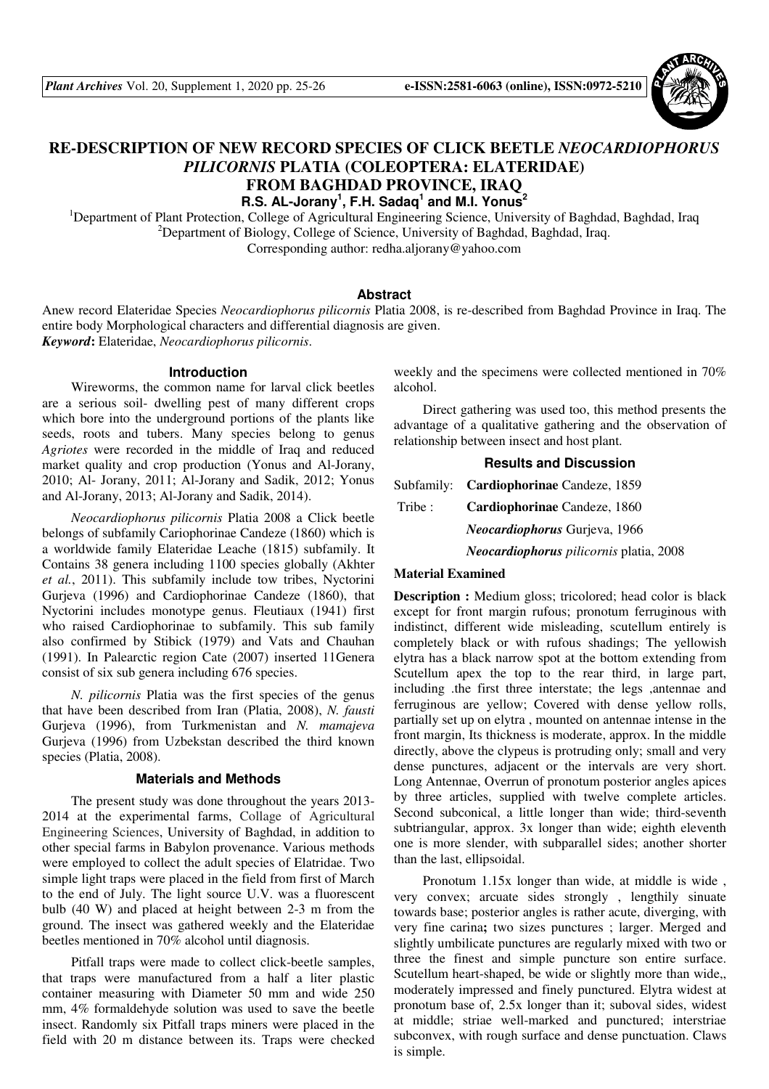

# **RE-DESCRIPTION OF NEW RECORD SPECIES OF CLICK BEETLE** *NEOCARDIOPHORUS PILICORNIS* **PLATIA (COLEOPTERA: ELATERIDAE) FROM BAGHDAD PROVINCE, IRAQ R.S. AL-Jorany<sup>1</sup> , F.H. Sadaq<sup>1</sup> and M.I. Yonus<sup>2</sup>**

<sup>1</sup>Department of Plant Protection, College of Agricultural Engineering Science, University of Baghdad, Baghdad, Iraq <sup>2</sup>Department of Biology, College of Science, University of Baghdad, Baghdad, Iraq. Corresponding author: redha.aljorany@yahoo.com

### **Abstract**

Anew record Elateridae Species *Neocardiophorus pilicornis* Platia 2008, is re-described from Baghdad Province in Iraq. The entire body Morphological characters and differential diagnosis are given. *Keyword***:** Elateridae, *Neocardiophorus pilicornis*.

#### **Introduction**

Wireworms, the common name for larval click beetles are a serious soil- dwelling pest of many different crops which bore into the underground portions of the plants like seeds, roots and tubers. Many species belong to genus *Agriotes* were recorded in the middle of Iraq and reduced market quality and crop production (Yonus and Al-Jorany, 2010; Al- Jorany, 2011; Al-Jorany and Sadik, 2012; Yonus and Al-Jorany, 2013; Al-Jorany and Sadik, 2014).

*Neocardiophorus pilicornis* Platia 2008 a Click beetle belongs of subfamily Cariophorinae Candeze (1860) which is a worldwide family Elateridae Leache (1815) subfamily. It Contains 38 genera including 1100 species globally (Akhter *et al.*, 2011). This subfamily include tow tribes, Nyctorini Gurjeva (1996) and Cardiophorinae Candeze (1860), that Nyctorini includes monotype genus. Fleutiaux (1941) first who raised Cardiophorinae to subfamily. This sub family also confirmed by Stibick (1979) and Vats and Chauhan (1991). In Palearctic region Cate (2007) inserted 11Genera consist of six sub genera including 676 species.

*N. pilicornis* Platia was the first species of the genus that have been described from Iran (Platia, 2008), *N. fausti* Gurjeva (1996), from Turkmenistan and *N. mamajeva* Gurjeva (1996) from Uzbekstan described the third known species (Platia, 2008).

### **Materials and Methods**

The present study was done throughout the years 2013- 2014 at the experimental farms, Collage of Agricultural Engineering Sciences, University of Baghdad, in addition to other special farms in Babylon provenance. Various methods were employed to collect the adult species of Elatridae. Two simple light traps were placed in the field from first of March to the end of July. The light source U.V. was a fluorescent bulb (40 W) and placed at height between 2-3 m from the ground. The insect was gathered weekly and the Elateridae beetles mentioned in 70% alcohol until diagnosis.

Pitfall traps were made to collect click-beetle samples, that traps were manufactured from a half a liter plastic container measuring with Diameter 50 mm and wide 250 mm, 4% formaldehyde solution was used to save the beetle insect. Randomly six Pitfall traps miners were placed in the field with 20 m distance between its. Traps were checked weekly and the specimens were collected mentioned in 70% alcohol.

Direct gathering was used too, this method presents the advantage of a qualitative gathering and the observation of relationship between insect and host plant.

## **Results and Discussion**

Subfamily: **Cardiophorinae** Candeze, 1859 Tribe : **Cardiophorinae** Candeze, 1860  *Neocardiophorus* Gurjeva, 1966  *Neocardiophorus pilicornis* platia, 2008

## **Material Examined**

**Description :** Medium gloss; tricolored; head color is black except for front margin rufous; pronotum ferruginous with indistinct, different wide misleading, scutellum entirely is completely black or with rufous shadings; The yellowish elytra has a black narrow spot at the bottom extending from Scutellum apex the top to the rear third, in large part, including .the first three interstate; the legs ,antennae and ferruginous are yellow; Covered with dense yellow rolls, partially set up on elytra , mounted on antennae intense in the front margin, Its thickness is moderate, approx. In the middle directly, above the clypeus is protruding only; small and very dense punctures, adjacent or the intervals are very short. Long Antennae, Overrun of pronotum posterior angles apices by three articles, supplied with twelve complete articles. Second subconical, a little longer than wide; third-seventh subtriangular, approx. 3x longer than wide; eighth eleventh one is more slender, with subparallel sides; another shorter than the last, ellipsoidal.

Pronotum 1.15x longer than wide, at middle is wide , very convex; arcuate sides strongly , lengthily sinuate towards base; posterior angles is rather acute, diverging, with very fine carina; two sizes punctures ; larger. Merged and slightly umbilicate punctures are regularly mixed with two or three the finest and simple puncture son entire surface. Scutellum heart-shaped, be wide or slightly more than wide,, moderately impressed and finely punctured. Elytra widest at pronotum base of, 2.5x longer than it; suboval sides, widest at middle; striae well-marked and punctured; interstriae subconvex, with rough surface and dense punctuation. Claws is simple.